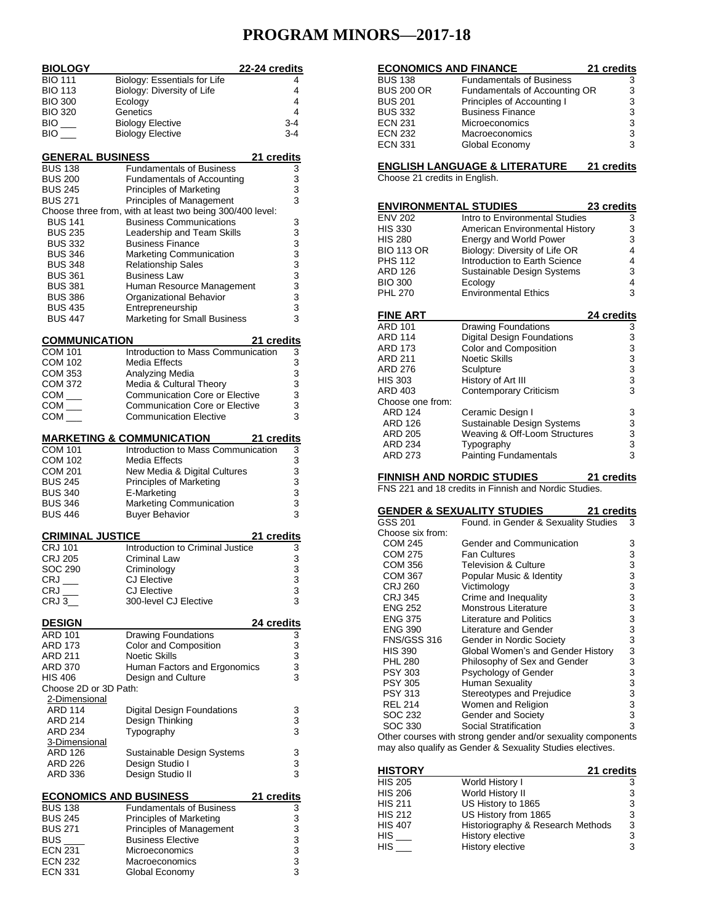## **PROGRAM MINORS—2017-18**

| <b>BIOLOGY</b> |                              | 22-24 credits |
|----------------|------------------------------|---------------|
| <b>BIO 111</b> | Biology: Essentials for Life |               |
| <b>BIO 113</b> | Biology: Diversity of Life   |               |
| <b>BIO 300</b> | Ecology                      | 4             |
| <b>BIO 320</b> | Genetics                     | 4             |
| BIO.           | <b>Biology Elective</b>      | 3-4           |
| <b>BIO</b>     | <b>Biology Elective</b>      | $3 - 4$       |

| <b>GENERAL BUSINESS</b>                     |                                                           | 21 credits                                 |  |
|---------------------------------------------|-----------------------------------------------------------|--------------------------------------------|--|
| <b>BUS 138</b>                              | <b>Fundamentals of Business</b>                           | 3                                          |  |
| <b>BUS 200</b>                              | <b>Fundamentals of Accounting</b>                         | 3                                          |  |
| <b>BUS 245</b>                              | Principles of Marketing                                   | 3                                          |  |
| <b>BUS 271</b>                              | Principles of Management                                  | 3                                          |  |
|                                             | Choose three from, with at least two being 300/400 level: |                                            |  |
| <b>BUS 141</b><br><b>BUS 235</b>            | <b>Business Communications</b>                            |                                            |  |
| <b>BUS 332</b>                              | Leadership and Team Skills<br><b>Business Finance</b>     |                                            |  |
| <b>BUS 346</b>                              | Marketing Communication                                   |                                            |  |
| <b>BUS 348</b>                              | <b>Relationship Sales</b>                                 |                                            |  |
| <b>BUS 361</b>                              | <b>Business Law</b>                                       |                                            |  |
| <b>BUS 381</b>                              | Human Resource Management                                 |                                            |  |
| <b>BUS 386</b>                              | Organizational Behavior                                   | 33333333333                                |  |
| <b>BUS 435</b>                              | Entrepreneurship                                          |                                            |  |
| <b>BUS 447</b>                              | Marketing for Small Business                              |                                            |  |
|                                             |                                                           |                                            |  |
| <b>COMMUNICATION</b><br><b>COM 101</b>      | Introduction to Mass Communication                        | 21 credits<br>3                            |  |
| <b>COM 102</b>                              | Media Effects                                             | 3                                          |  |
| <b>COM 353</b>                              | Analyzing Media                                           |                                            |  |
| <b>COM 372</b>                              | Media & Cultural Theory                                   |                                            |  |
| $\mathsf{COM} \_\_$                         | <b>Communication Core or Elective</b>                     | $\begin{array}{c} 3 \\ 3 \\ 3 \end{array}$ |  |
| $COM$ ___                                   | <b>Communication Core or Elective</b>                     | 3                                          |  |
| $COM$ <sub>——</sub>                         | <b>Communication Elective</b>                             | 3                                          |  |
|                                             |                                                           |                                            |  |
|                                             | <u> MARKETING &amp; COMMUNICATION</u>                     | 21 credits                                 |  |
| <b>COM 101</b>                              | Introduction to Mass Communication                        | 3                                          |  |
| <b>COM 102</b><br><b>COM 201</b>            | Media Effects<br>New Media & Digital Cultures             | 3                                          |  |
| <b>BUS 245</b>                              | Principles of Marketing                                   | $\begin{array}{c} 3 \\ 3 \\ 3 \end{array}$ |  |
| <b>BUS 340</b>                              | E-Marketing                                               |                                            |  |
| <b>BUS 346</b>                              | Marketing Communication                                   | 3                                          |  |
| <b>BUS 446</b>                              | <b>Buyer Behavior</b>                                     | 3                                          |  |
|                                             |                                                           |                                            |  |
| <b>CRIMINAL JUSTICE</b><br><b>CRJ 101</b>   | Introduction to Criminal Justice                          | <u> 21 credits</u><br>3                    |  |
| <b>CRJ 205</b>                              | Criminal Law                                              |                                            |  |
| <b>SOC 290</b>                              | Criminology                                               |                                            |  |
| $CRJ$ <sub>___</sub>                        | <b>CJ Elective</b>                                        |                                            |  |
| CRJ                                         | <b>CJ</b> Elective                                        | $\begin{array}{c} 3 \\ 3 \\ 3 \end{array}$ |  |
| CRJ 3_                                      | 300-level CJ Elective                                     | 3                                          |  |
|                                             |                                                           |                                            |  |
| <b>DESIGN</b>                               |                                                           | 24 credits                                 |  |
| <b>ARD 101</b><br>ARD 173                   | <b>Drawing Foundations</b><br>Color and Composition       | 3<br>3                                     |  |
| ARD 211                                     | <b>Noetic Skills</b>                                      | 3                                          |  |
| ARD 370                                     | Human Factors and Ergonomics                              | 3                                          |  |
| HIS 406                                     | Design and Culture                                        | 3                                          |  |
| Choose 2D or 3D Path:                       |                                                           |                                            |  |
| <u>2-Dimensional</u>                        |                                                           |                                            |  |
| ARD 114                                     | <b>Digital Design Foundations</b>                         | 3                                          |  |
| ARD 214                                     | Design Thinking                                           | 3                                          |  |
| ARD 234                                     | Typography                                                | 3                                          |  |
| <u>3-Dimensional</u>                        |                                                           |                                            |  |
| ARD 126                                     | Sustainable Design Systems                                | 3                                          |  |
| ARD 226                                     | Design Studio I                                           | 3<br>3                                     |  |
| ARD 336                                     | Design Studio II                                          |                                            |  |
| <b>ECONOMICS AND BUSINESS</b><br>21 credits |                                                           |                                            |  |
| <b>BUS 138</b>                              | <b>Fundamentals of Business</b>                           |                                            |  |
| <b>BUS 245</b>                              | <b>Principles of Marketing</b>                            | 3<br>3<br>3<br>3                           |  |
| <b>BUS 271</b>                              | Principles of Management                                  |                                            |  |
| <b>BUS</b>                                  | <b>Business Elective</b>                                  |                                            |  |

ECN 231 Microeconomics 3 ECN 232 Macroeconomics 3 ECN 331 Global Economy 3

|                               | <b>ECONOMICS AND FINANCE</b>                          | 21 credits                                      |
|-------------------------------|-------------------------------------------------------|-------------------------------------------------|
| <b>BUS 138</b>                | <b>Fundamentals of Business</b>                       | 3                                               |
| <b>BUS 200 OR</b>             | Fundamentals of Accounting OR                         |                                                 |
| <b>BUS 201</b>                | Principles of Accounting I                            |                                                 |
| <b>BUS 332</b>                | <b>Business Finance</b>                               | $3333$<br>$333$                                 |
| <b>ECN 231</b>                | Microeconomics                                        |                                                 |
| <b>ECN 232</b>                | Macroeconomics                                        |                                                 |
| <b>ECN 331</b>                | Global Economy                                        |                                                 |
|                               |                                                       |                                                 |
|                               | <b>ENGLISH LANGUAGE &amp; LITERATURE</b>              | 21 credits                                      |
| Choose 21 credits in English. |                                                       |                                                 |
|                               |                                                       |                                                 |
| <b>ENVIRONMENTAL STUDIES</b>  |                                                       | 23 credits                                      |
| <b>ENV 202</b>                | Intro to Environmental Studies                        | 3                                               |
| <b>HIS 330</b>                | American Environmental History                        | 3                                               |
| <b>HIS 280</b>                | <b>Energy and World Power</b>                         | 3                                               |
| <b>BIO 113 OR</b>             | Biology: Diversity of Life OR                         | 4                                               |
| <b>PHS 112</b>                | Introduction to Earth Science                         | 4                                               |
| <b>ARD 126</b>                | Sustainable Design Systems                            | 3                                               |
| <b>BIO 300</b>                | Ecology                                               | 4                                               |
| <b>PHL 270</b>                | <b>Environmental Ethics</b>                           | 3                                               |
| <b>FINE ART</b>               |                                                       | 24 credits                                      |
|                               |                                                       |                                                 |
| <b>ARD 101</b>                | <b>Drawing Foundations</b>                            | 3                                               |
| <b>ARD 114</b>                |                                                       |                                                 |
| <b>ARD 173</b>                | Digital Design Foundations<br>Color and Composition   |                                                 |
| <b>ARD 211</b>                | <b>Noetic Skills</b>                                  |                                                 |
| ARD 276                       | Sculpture                                             |                                                 |
| <b>HIS 303</b>                | History of Art III                                    | $\begin{array}{c} 3 \\ 3 \\ 3 \\ 3 \end{array}$ |
| ARD 403                       | Contemporary Criticism                                | $\overline{3}$                                  |
| Choose one from:              |                                                       |                                                 |
| <b>ARD 124</b>                | Ceramic Design I                                      | 3                                               |
| <b>ARD 126</b>                | Sustainable Design Systems                            |                                                 |
| <b>ARD 205</b>                | Weaving & Off-Loom Structures                         |                                                 |
| <b>ARD 234</b>                | Typography                                            | $\frac{3}{3}$                                   |
| ARD 273                       | <b>Painting Fundamentals</b>                          | 3                                               |
|                               |                                                       |                                                 |
|                               | <b>FINNISH AND NORDIC STUDIES</b>                     | 21 credits                                      |
|                               | FNS 221 and 18 credits in Finnish and Nordic Studies. |                                                 |
|                               |                                                       |                                                 |
| GSS 201                       | <b>GENDER &amp; SEXUALITY STUDIES</b>                 | 21 credits<br>3                                 |
| Choose six from:              | Found. in Gender & Sexuality Studies                  |                                                 |
| <b>COM 245</b>                | Gender and Communication                              | 3                                               |

| COM 245            | Gender and Communication          | 3 |
|--------------------|-----------------------------------|---|
| <b>COM 275</b>     | <b>Fan Cultures</b>               | 3 |
| <b>COM 356</b>     | Television & Culture              | 3 |
| <b>COM 367</b>     | Popular Music & Identity          | 3 |
| <b>CRJ 260</b>     | Victimology                       | 3 |
| CRJ 345            | Crime and Inequality              | 3 |
| <b>ENG 252</b>     | Monstrous Literature              | 3 |
| <b>ENG 375</b>     | <b>Literature and Politics</b>    | 3 |
| <b>ENG 390</b>     | Literature and Gender             | 3 |
| <b>FNS/GSS 316</b> | Gender in Nordic Society          | 3 |
| <b>HIS 390</b>     | Global Women's and Gender History | 3 |
| <b>PHL 280</b>     | Philosophy of Sex and Gender      | 3 |
| <b>PSY 303</b>     | Psychology of Gender              | 3 |
| <b>PSY 305</b>     | Human Sexuality                   | 3 |
| <b>PSY 313</b>     | Stereotypes and Prejudice         | 3 |
| <b>REL 214</b>     | Women and Religion                | 3 |
| SOC 232            | <b>Gender and Society</b>         | 3 |
| SOC 330            | Social Stratification             | 3 |
|                    |                                   |   |

Other courses with strong gender and/or sexuality components may also qualify as Gender & Sexuality Studies electives.

| <b>HISTORY</b> | 21 credits                        |   |
|----------------|-----------------------------------|---|
| <b>HIS 205</b> | World History I                   | 3 |
| <b>HIS 206</b> | World History II                  | 3 |
| <b>HIS 211</b> | US History to 1865                | 3 |
| <b>HIS 212</b> | US History from 1865              | 3 |
| <b>HIS 407</b> | Historiography & Research Methods | 3 |
| <b>HIS</b>     | History elective                  | 3 |
| HIS <b>M</b>   | History elective                  | 3 |